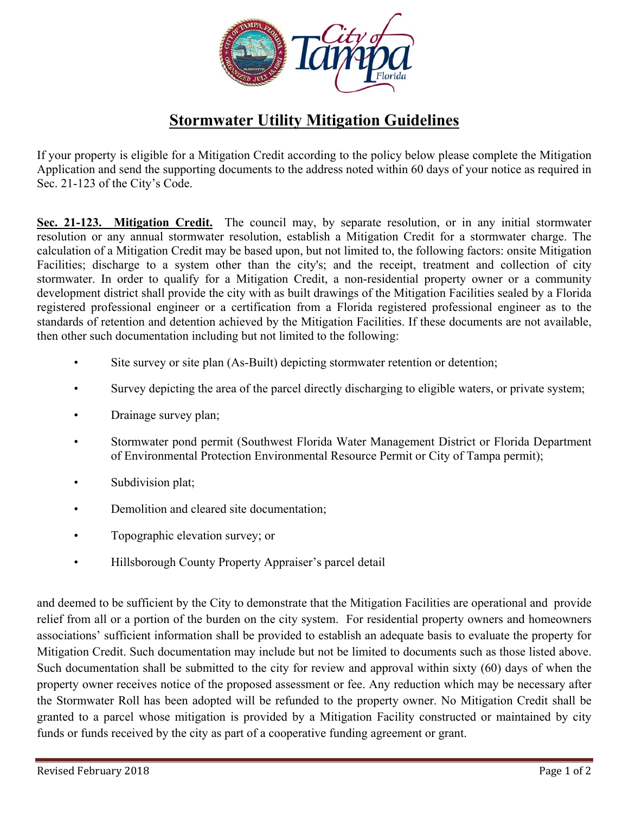

## **Stormwater Utility Mitigation Guidelines**

If your property is eligible for a Mitigation Credit according to the policy below please complete the Mitigation Application and send the supporting documents to the address noted within 60 days of your notice as required in Sec. 21-123 of the City's Code.

 **Sec. 21-123. Mitigation Credit.** The council may, by separate resolution, or in any initial stormwater resolution or any annual stormwater resolution, establish a Mitigation Credit for a stormwater charge. The Facilities; discharge to a system other than the city's; and the receipt, treatment and collection of city stormwater. In order to qualify for a Mitigation Credit, a non-residential property owner or a community calculation of a Mitigation Credit may be based upon, but not limited to, the following factors: onsite Mitigation development district shall provide the city with as built drawings of the Mitigation Facilities sealed by a Florida registered professional engineer or a certification from a Florida registered professional engineer as to the standards of retention and detention achieved by the Mitigation Facilities. If these documents are not available, then other such documentation including but not limited to the following:

- Site survey or site plan (As-Built) depicting stormwater retention or detention;
- Survey depicting the area of the parcel directly discharging to eligible waters, or private system;
- Drainage survey plan;
- Stormwater pond permit (Southwest Florida Water Management District or Florida Department of Environmental Protection Environmental Resource Permit or City of Tampa permit);
- Subdivision plat;
- Demolition and cleared site documentation;
- Topographic elevation survey; or
- Hillsborough County Property Appraiser's parcel detail

 relief from all or a portion of the burden on the city system. For residential property owners and homeowners Such documentation shall be submitted to the city for review and approval within sixty (60) days of when the and deemed to be sufficient by the City to demonstrate that the Mitigation Facilities are operational and provide associations' sufficient information shall be provided to establish an adequate basis to evaluate the property for Mitigation Credit. Such documentation may include but not be limited to documents such as those listed above. property owner receives notice of the proposed assessment or fee. Any reduction which may be necessary after the Stormwater Roll has been adopted will be refunded to the property owner. No Mitigation Credit shall be granted to a parcel whose mitigation is provided by a Mitigation Facility constructed or maintained by city funds or funds received by the city as part of a cooperative funding agreement or grant.